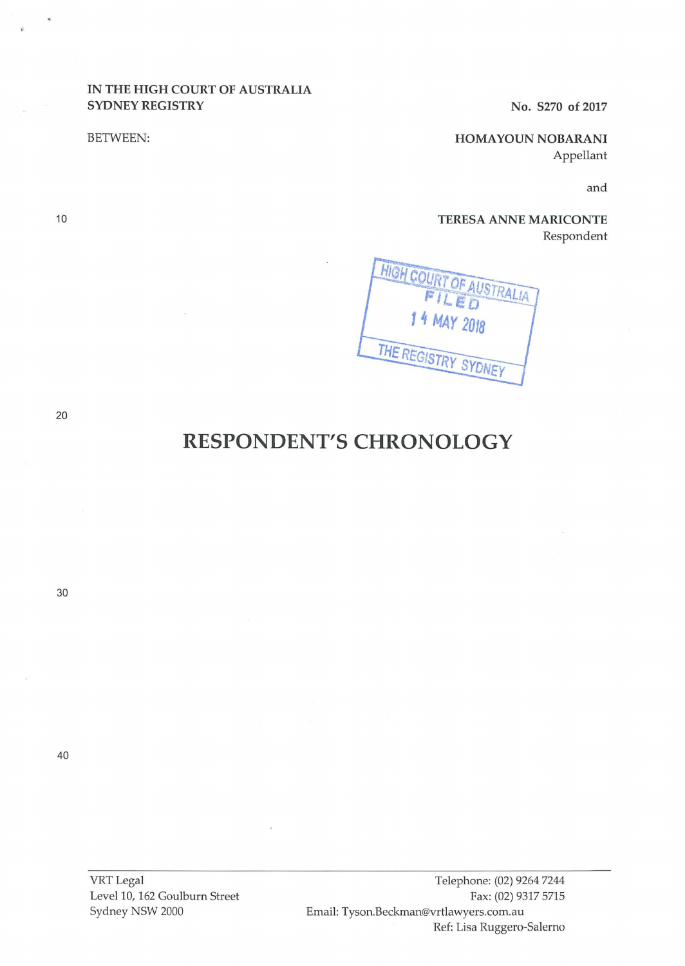# IN THE HIGH COURT OF AUSTRALIA SYDNEY REGISTRY No. S270 of 2017

BETWEEN: HOMAYOUN NOBARANI Appellant

and

TERESA ANNE MARICONTE Respondent



10

# **RESPONDENT'S CHRONOLOGY**

30

40

VRTLegal Level 10, 162 Goulburn Street Sydney NSW 2000

Telephone: (02) 9264 7244 Fax: (02) 9317 5715 Email: Tyson.Beckman@vrtlawyers.com.au Ref: Lisa Ruggero-Salerno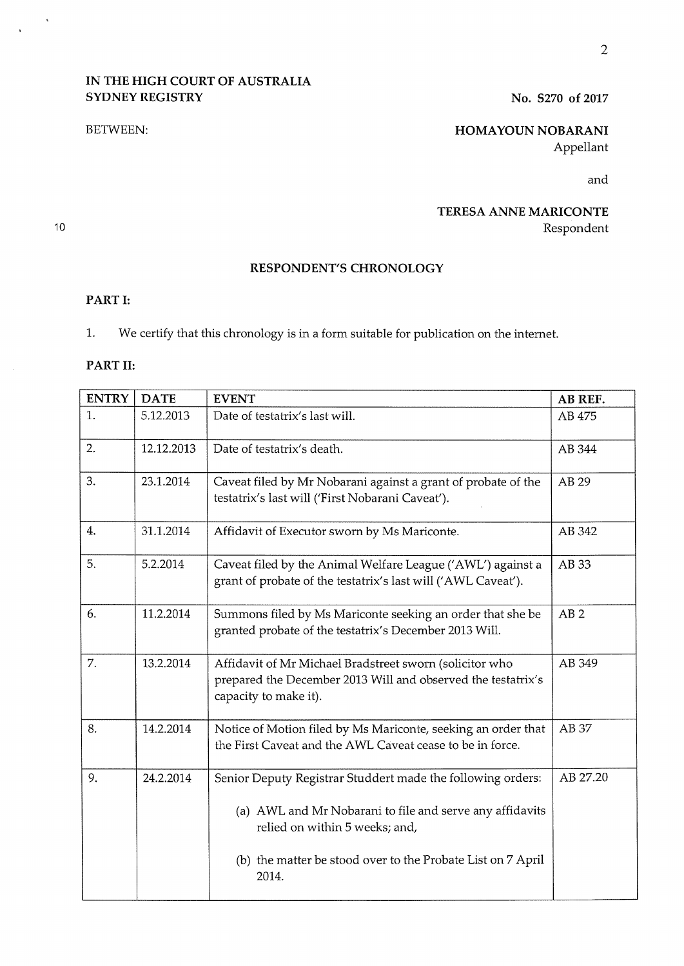# **IN THE HIGH COURT OF AUSTRALIA SYDNEY REGISTRY** No. S270 of 2017

### BETWEEN:

**HOMAYOUN NOBARANI**  Appellant

and

# **TERESA ANNE MARICONTE**  Respondent

# **RESPONDENT'S CHRONOLOGY**

# **PART I:**

1. We certify that this chronology is in a form suitable for publication on the internet.

## **PART 11:**

| <b>ENTRY</b> | <b>DATE</b> | <b>EVENT</b>                                                                                                                                     | AB REF.         |
|--------------|-------------|--------------------------------------------------------------------------------------------------------------------------------------------------|-----------------|
| 1.           | 5.12.2013   | Date of testatrix's last will.                                                                                                                   | AB 475          |
| 2.           | 12.12.2013  | Date of testatrix's death.                                                                                                                       | AB 344          |
| 3.           | 23.1.2014   | Caveat filed by Mr Nobarani against a grant of probate of the<br>testatrix's last will ('First Nobarani Caveat').                                | AB 29           |
| 4.           | 31.1.2014   | Affidavit of Executor sworn by Ms Mariconte.                                                                                                     | AB 342          |
| 5.           | 5.2.2014    | Caveat filed by the Animal Welfare League ('AWL') against a<br>grant of probate of the testatrix's last will ('AWL Caveat').                     | AB 33           |
| 6.           | 11.2.2014   | Summons filed by Ms Mariconte seeking an order that she be<br>granted probate of the testatrix's December 2013 Will.                             | AB <sub>2</sub> |
| 7.           | 13.2.2014   | Affidavit of Mr Michael Bradstreet sworn (solicitor who<br>prepared the December 2013 Will and observed the testatrix's<br>capacity to make it). | AB 349          |
| 8.           | 14.2.2014   | Notice of Motion filed by Ms Mariconte, seeking an order that<br>the First Caveat and the AWL Caveat cease to be in force.                       | AB 37           |
| 9.           | 24.2.2014   | Senior Deputy Registrar Studdert made the following orders:                                                                                      | AB 27.20        |
|              |             | (a) AWL and Mr Nobarani to file and serve any affidavits<br>relied on within 5 weeks; and,                                                       |                 |
|              |             | (b) the matter be stood over to the Probate List on 7 April<br>2014.                                                                             |                 |

10

 $\hat{\mathbf{a}}$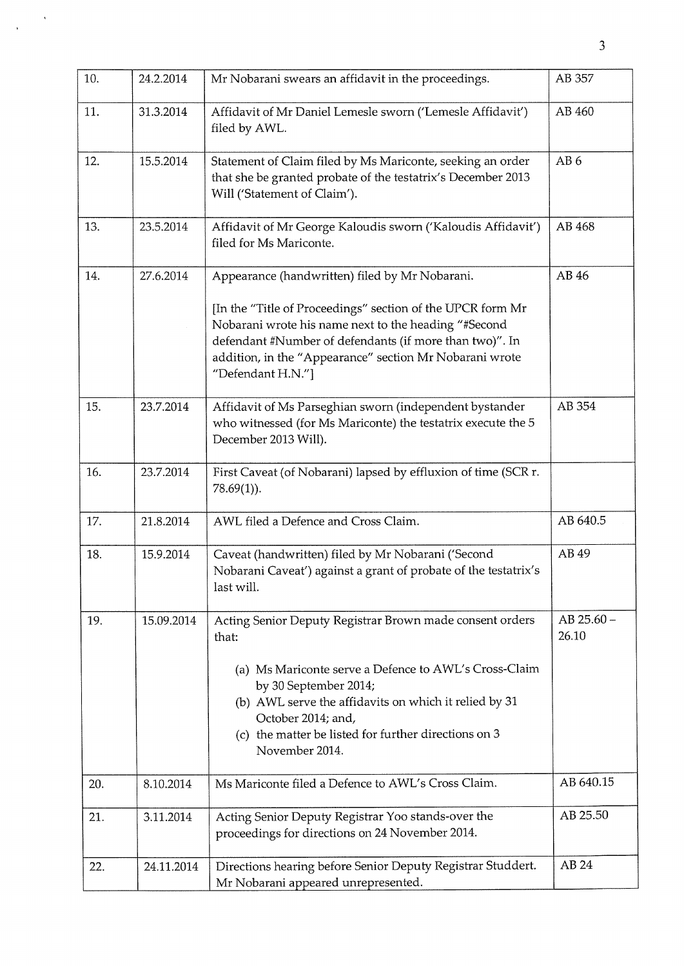| 10. | 24.2.2014  | Mr Nobarani swears an affidavit in the proceedings.                                                                                                                                                                                                                                                             | AB 357                  |
|-----|------------|-----------------------------------------------------------------------------------------------------------------------------------------------------------------------------------------------------------------------------------------------------------------------------------------------------------------|-------------------------|
| 11. | 31.3.2014  | Affidavit of Mr Daniel Lemesle sworn ('Lemesle Affidavit')<br>filed by AWL.                                                                                                                                                                                                                                     | AB 460                  |
| 12. | 15.5.2014  | Statement of Claim filed by Ms Mariconte, seeking an order<br>that she be granted probate of the testatrix's December 2013<br>Will ('Statement of Claim').                                                                                                                                                      | AB <sub>6</sub>         |
| 13. | 23.5.2014  | Affidavit of Mr George Kaloudis sworn ('Kaloudis Affidavit')<br>filed for Ms Mariconte.                                                                                                                                                                                                                         | AB 468                  |
| 14. | 27.6.2014  | Appearance (handwritten) filed by Mr Nobarani.<br>[In the "Title of Proceedings" section of the UPCR form Mr<br>Nobarani wrote his name next to the heading "#Second<br>defendant #Number of defendants (if more than two)". In<br>addition, in the "Appearance" section Mr Nobarani wrote<br>"Defendant H.N."] | AB 46                   |
| 15. | 23.7.2014  | Affidavit of Ms Parseghian sworn (independent bystander<br>who witnessed (for Ms Mariconte) the testatrix execute the 5<br>December 2013 Will).                                                                                                                                                                 | AB 354                  |
| 16. | 23.7.2014  | First Caveat (of Nobarani) lapsed by effluxion of time (SCR r.<br>$78.69(1)$ ).                                                                                                                                                                                                                                 |                         |
| 17. | 21.8.2014  | AWL filed a Defence and Cross Claim.                                                                                                                                                                                                                                                                            | AB 640.5                |
| 18. | 15.9.2014  | Caveat (handwritten) filed by Mr Nobarani ('Second<br>Nobarani Caveat') against a grant of probate of the testatrix's<br>last will.                                                                                                                                                                             | AB 49                   |
| 19. | 15.09.2014 | Acting Senior Deputy Registrar Brown made consent orders<br>that:<br>(a) Ms Mariconte serve a Defence to AWL's Cross-Claim<br>by 30 September 2014;<br>(b) AWL serve the affidavits on which it relied by 31<br>October 2014; and,<br>(c) the matter be listed for further directions on 3<br>November 2014.    | $AB$ 25.60 $-$<br>26.10 |
| 20. | 8.10.2014  | Ms Mariconte filed a Defence to AWL's Cross Claim.                                                                                                                                                                                                                                                              | AB 640.15               |
| 21. | 3.11.2014  | Acting Senior Deputy Registrar Yoo stands-over the<br>proceedings for directions on 24 November 2014.                                                                                                                                                                                                           | AB 25.50                |
| 22. | 24.11.2014 | Directions hearing before Senior Deputy Registrar Studdert.<br>Mr Nobarani appeared unrepresented.                                                                                                                                                                                                              | AB 24                   |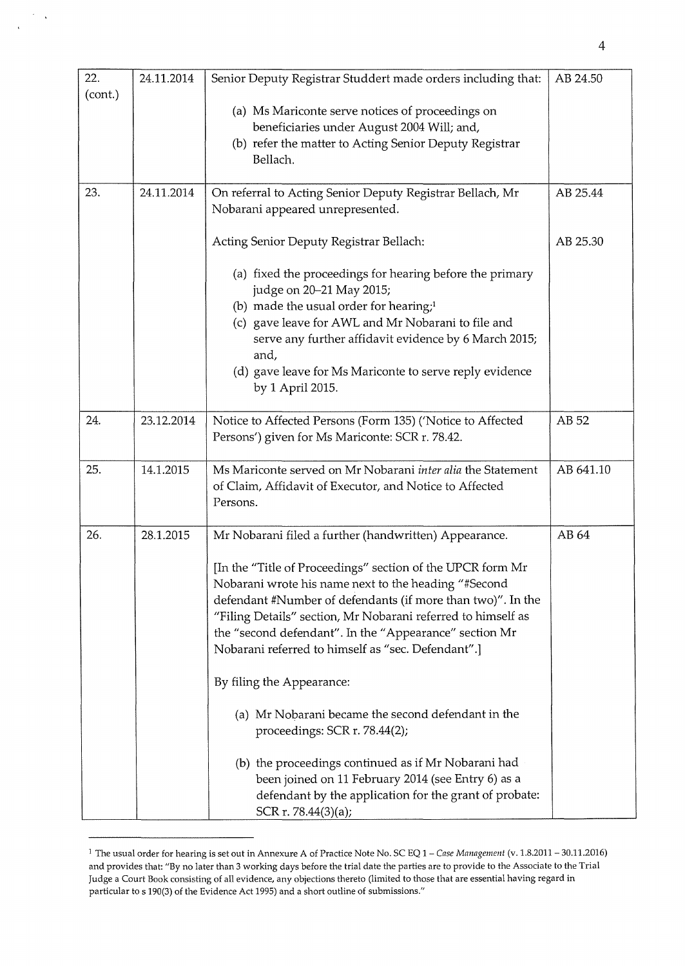| 22.     | 24.11.2014 | Senior Deputy Registrar Studdert made orders including that:                         | AB 24.50  |
|---------|------------|--------------------------------------------------------------------------------------|-----------|
| (cont.) |            |                                                                                      |           |
|         |            | (a) Ms Mariconte serve notices of proceedings on                                     |           |
|         |            | beneficiaries under August 2004 Will; and,                                           |           |
|         |            | (b) refer the matter to Acting Senior Deputy Registrar                               |           |
|         |            | Bellach.                                                                             |           |
| 23.     | 24.11.2014 | On referral to Acting Senior Deputy Registrar Bellach, Mr                            | AB 25.44  |
|         |            | Nobarani appeared unrepresented.                                                     |           |
|         |            |                                                                                      |           |
|         |            | Acting Senior Deputy Registrar Bellach:                                              | AB 25.30  |
|         |            | (a) fixed the proceedings for hearing before the primary<br>judge on 20-21 May 2015; |           |
|         |            | (b) made the usual order for hearing; <sup>1</sup>                                   |           |
|         |            | (c) gave leave for AWL and Mr Nobarani to file and                                   |           |
|         |            | serve any further affidavit evidence by 6 March 2015;                                |           |
|         |            | and,                                                                                 |           |
|         |            | (d) gave leave for Ms Mariconte to serve reply evidence                              |           |
|         |            | by 1 April 2015.                                                                     |           |
| 24.     | 23.12.2014 | Notice to Affected Persons (Form 135) ('Notice to Affected                           | AB 52     |
|         |            | Persons') given for Ms Mariconte: SCR r. 78.42.                                      |           |
|         |            |                                                                                      |           |
| 25.     | 14.1.2015  | Ms Mariconte served on Mr Nobarani inter alia the Statement                          | AB 641.10 |
|         |            | of Claim, Affidavit of Executor, and Notice to Affected                              |           |
|         |            | Persons.                                                                             |           |
| 26.     | 28.1.2015  | Mr Nobarani filed a further (handwritten) Appearance.                                | AB 64     |
|         |            |                                                                                      |           |
|         |            | [In the "Title of Proceedings" section of the UPCR form Mr                           |           |
|         |            | Nobarani wrote his name next to the heading "#Second                                 |           |
|         |            | defendant #Number of defendants (if more than two)". In the                          |           |
|         |            | "Filing Details" section, Mr Nobarani referred to himself as                         |           |
|         |            | the "second defendant". In the "Appearance" section Mr                               |           |
|         |            | Nobarani referred to himself as "sec. Defendant".]                                   |           |
|         |            | By filing the Appearance:                                                            |           |
|         |            | (a) Mr Nobarani became the second defendant in the                                   |           |
|         |            | proceedings: SCR r. 78.44(2);                                                        |           |
|         |            | (b) the proceedings continued as if Mr Nobarani had                                  |           |
|         |            | been joined on 11 February 2014 (see Entry 6) as a                                   |           |
|         |            | defendant by the application for the grant of probate:                               |           |
|         |            | SCR r. 78.44(3)(a);                                                                  |           |

 $\ddot{\phantom{1}}$ 

 $\mathbf{I}$ 

<sup>1</sup> The usual order for hearing is set out in Annexure A of Practice Note No. SC EQ 1- *Case Management* (v. 1.8.2011- 30.11.2016) and provides that: "By no later than 3 working days before the trial date the parties are to provide to the Associate to the Trial Judge a Court Book consisting of all evidence, any objections thereto (limited to those that are essential having regard in particular to s 190(3) of the Evidence Act 1995) and a short outline of submissions."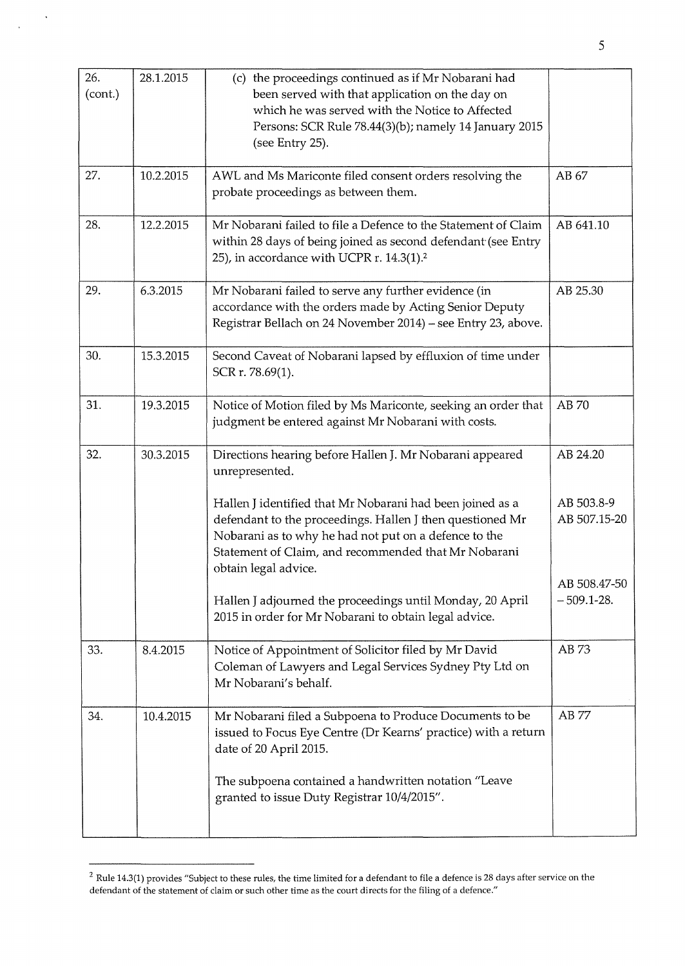| 26.<br>(cont.) | 28.1.2015 | (c) the proceedings continued as if Mr Nobarani had<br>been served with that application on the day on<br>which he was served with the Notice to Affected<br>Persons: SCR Rule 78.44(3)(b); namely 14 January 2015<br>(see Entry 25).                           |                                |
|----------------|-----------|-----------------------------------------------------------------------------------------------------------------------------------------------------------------------------------------------------------------------------------------------------------------|--------------------------------|
| 27.            | 10.2.2015 | AWL and Ms Mariconte filed consent orders resolving the<br>probate proceedings as between them.                                                                                                                                                                 | AB 67                          |
| 28.            | 12.2.2015 | Mr Nobarani failed to file a Defence to the Statement of Claim<br>within 28 days of being joined as second defendant (see Entry<br>25), in accordance with UCPR r. 14.3(1). <sup>2</sup>                                                                        | AB 641.10                      |
| 29.            | 6.3.2015  | Mr Nobarani failed to serve any further evidence (in<br>accordance with the orders made by Acting Senior Deputy<br>Registrar Bellach on 24 November 2014) - see Entry 23, above.                                                                                | AB 25.30                       |
| 30.            | 15.3.2015 | Second Caveat of Nobarani lapsed by effluxion of time under<br>SCR r. 78.69(1).                                                                                                                                                                                 |                                |
| 31.            | 19.3.2015 | Notice of Motion filed by Ms Mariconte, seeking an order that<br>judgment be entered against Mr Nobarani with costs.                                                                                                                                            | AB 70                          |
| 32.            | 30.3.2015 | Directions hearing before Hallen J. Mr Nobarani appeared<br>unrepresented.                                                                                                                                                                                      | AB 24.20                       |
|                |           | Hallen J identified that Mr Nobarani had been joined as a<br>defendant to the proceedings. Hallen J then questioned Mr<br>Nobarani as to why he had not put on a defence to the<br>Statement of Claim, and recommended that Mr Nobarani<br>obtain legal advice. | AB 503.8-9<br>AB 507.15-20     |
|                |           | Hallen J adjourned the proceedings until Monday, 20 April<br>2015 in order for Mr Nobarani to obtain legal advice.                                                                                                                                              | AB 508.47-50<br>$-509.1 - 28.$ |
| 33.            | 8.4.2015  | Notice of Appointment of Solicitor filed by Mr David<br>Coleman of Lawyers and Legal Services Sydney Pty Ltd on<br>Mr Nobarani's behalf.                                                                                                                        | AB 73                          |
| 34.            | 10.4.2015 | Mr Nobarani filed a Subpoena to Produce Documents to be<br>issued to Focus Eye Centre (Dr Kearns' practice) with a return<br>date of 20 April 2015.                                                                                                             | AB 77                          |
|                |           | The subpoena contained a handwritten notation "Leave<br>granted to issue Duty Registrar 10/4/2015".                                                                                                                                                             |                                |

 $\ddot{\phantom{1}}$ 

 $\bar{\bar{z}}$ 

 $^2$  Rule 14.3(1) provides "Subject to these rules, the time limited for a defendant to file a defence is 28 days after service on the defendant of the statement of claim or such other time as the court directs for the filing of a defence."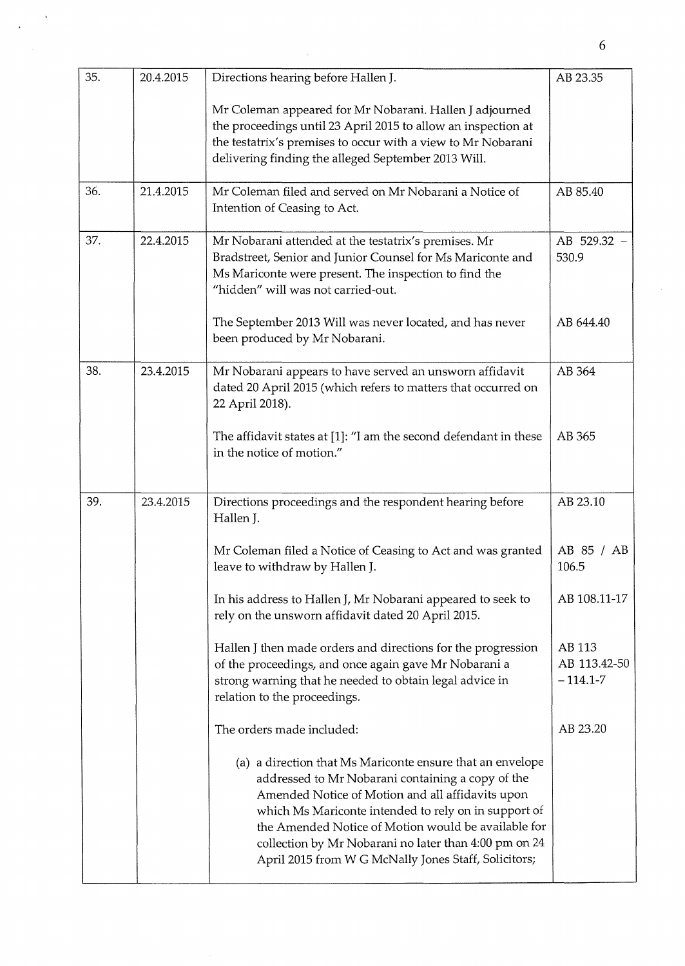| 35. | 20.4.2015 | Directions hearing before Hallen J.                                                                                                                                                                                                                                                                                                                                                                | AB 23.35                             |
|-----|-----------|----------------------------------------------------------------------------------------------------------------------------------------------------------------------------------------------------------------------------------------------------------------------------------------------------------------------------------------------------------------------------------------------------|--------------------------------------|
|     |           | Mr Coleman appeared for Mr Nobarani. Hallen J adjourned<br>the proceedings until 23 April 2015 to allow an inspection at<br>the testatrix's premises to occur with a view to Mr Nobarani<br>delivering finding the alleged September 2013 Will.                                                                                                                                                    |                                      |
| 36. | 21.4.2015 | Mr Coleman filed and served on Mr Nobarani a Notice of<br>Intention of Ceasing to Act.                                                                                                                                                                                                                                                                                                             | AB 85.40                             |
| 37. | 22.4.2015 | Mr Nobarani attended at the testatrix's premises. Mr<br>Bradstreet, Senior and Junior Counsel for Ms Mariconte and<br>Ms Mariconte were present. The inspection to find the<br>"hidden" will was not carried-out.                                                                                                                                                                                  | AB 529.32 -<br>530.9                 |
|     |           | The September 2013 Will was never located, and has never<br>been produced by Mr Nobarani.                                                                                                                                                                                                                                                                                                          | AB 644.40                            |
| 38. | 23.4.2015 | Mr Nobarani appears to have served an unsworn affidavit<br>dated 20 April 2015 (which refers to matters that occurred on<br>22 April 2018).                                                                                                                                                                                                                                                        | AB 364                               |
|     |           | The affidavit states at [1]: "I am the second defendant in these<br>in the notice of motion."                                                                                                                                                                                                                                                                                                      | AB 365                               |
| 39. | 23.4.2015 | Directions proceedings and the respondent hearing before<br>Hallen J.                                                                                                                                                                                                                                                                                                                              | AB 23.10                             |
|     |           | Mr Coleman filed a Notice of Ceasing to Act and was granted<br>leave to withdraw by Hallen J.                                                                                                                                                                                                                                                                                                      | AB 85 / AB<br>106.5                  |
|     |           | In his address to Hallen J, Mr Nobarani appeared to seek to<br>rely on the unsworn affidavit dated 20 April 2015.                                                                                                                                                                                                                                                                                  | AB 108.11-17                         |
|     |           | Hallen J then made orders and directions for the progression<br>of the proceedings, and once again gave Mr Nobarani a<br>strong warning that he needed to obtain legal advice in<br>relation to the proceedings.                                                                                                                                                                                   | AB 113<br>AB 113.42-50<br>$-114.1-7$ |
|     |           | The orders made included:                                                                                                                                                                                                                                                                                                                                                                          | AB 23.20                             |
|     |           | (a) a direction that Ms Mariconte ensure that an envelope<br>addressed to Mr Nobarani containing a copy of the<br>Amended Notice of Motion and all affidavits upon<br>which Ms Mariconte intended to rely on in support of<br>the Amended Notice of Motion would be available for<br>collection by Mr Nobarani no later than 4:00 pm on 24<br>April 2015 from W G McNally Jones Staff, Solicitors; |                                      |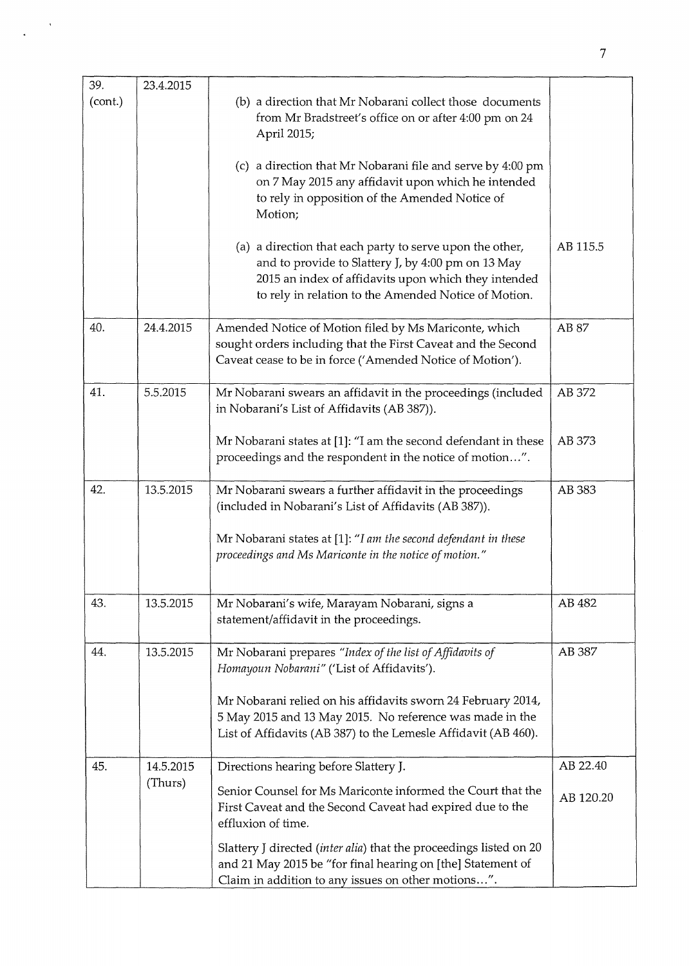| 39.     | 23.4.2015 |                                                                                                                                                                                                                                |           |
|---------|-----------|--------------------------------------------------------------------------------------------------------------------------------------------------------------------------------------------------------------------------------|-----------|
| (cont.) |           | (b) a direction that Mr Nobarani collect those documents<br>from Mr Bradstreet's office on or after 4:00 pm on 24<br>April 2015;                                                                                               |           |
|         |           | (c) a direction that Mr Nobarani file and serve by 4:00 pm<br>on 7 May 2015 any affidavit upon which he intended<br>to rely in opposition of the Amended Notice of<br>Motion;                                                  |           |
|         |           | (a) a direction that each party to serve upon the other,<br>and to provide to Slattery J, by 4:00 pm on 13 May<br>2015 an index of affidavits upon which they intended<br>to rely in relation to the Amended Notice of Motion. | AB 115.5  |
| 40.     | 24.4.2015 | Amended Notice of Motion filed by Ms Mariconte, which<br>sought orders including that the First Caveat and the Second<br>Caveat cease to be in force ('Amended Notice of Motion').                                             | AB 87     |
| 41.     | 5.5.2015  | Mr Nobarani swears an affidavit in the proceedings (included<br>in Nobarani's List of Affidavits (AB 387)).                                                                                                                    | AB 372    |
|         |           | Mr Nobarani states at [1]: "I am the second defendant in these<br>proceedings and the respondent in the notice of motion".                                                                                                     | AB 373    |
| 42.     | 13.5.2015 | Mr Nobarani swears a further affidavit in the proceedings<br>(included in Nobarani's List of Affidavits (AB 387)).                                                                                                             | AB 383    |
|         |           | Mr Nobarani states at [1]: "I am the second defendant in these<br>proceedings and Ms Mariconte in the notice of motion."                                                                                                       |           |
| 43.     | 13.5.2015 | Mr Nobarani's wife, Marayam Nobarani, signs a<br>statement/affidavit in the proceedings.                                                                                                                                       | AB 482    |
| 44.     | 13.5.2015 | Mr Nobarani prepares "Index of the list of Affidavits of<br>Homayoun Nobarani" ('List of Affidavits').                                                                                                                         | AB 387    |
|         |           | Mr Nobarani relied on his affidavits sworn 24 February 2014,<br>5 May 2015 and 13 May 2015. No reference was made in the<br>List of Affidavits (AB 387) to the Lemesle Affidavit (AB 460).                                     |           |
| 45.     | 14.5.2015 | Directions hearing before Slattery J.                                                                                                                                                                                          | AB 22.40  |
|         | (Thurs)   | Senior Counsel for Ms Mariconte informed the Court that the<br>First Caveat and the Second Caveat had expired due to the<br>effluxion of time.                                                                                 | AB 120.20 |
|         |           | Slattery J directed (inter alia) that the proceedings listed on 20<br>and 21 May 2015 be "for final hearing on [the] Statement of<br>Claim in addition to any issues on other motions".                                        |           |

 $\hat{\mathbf{v}}$